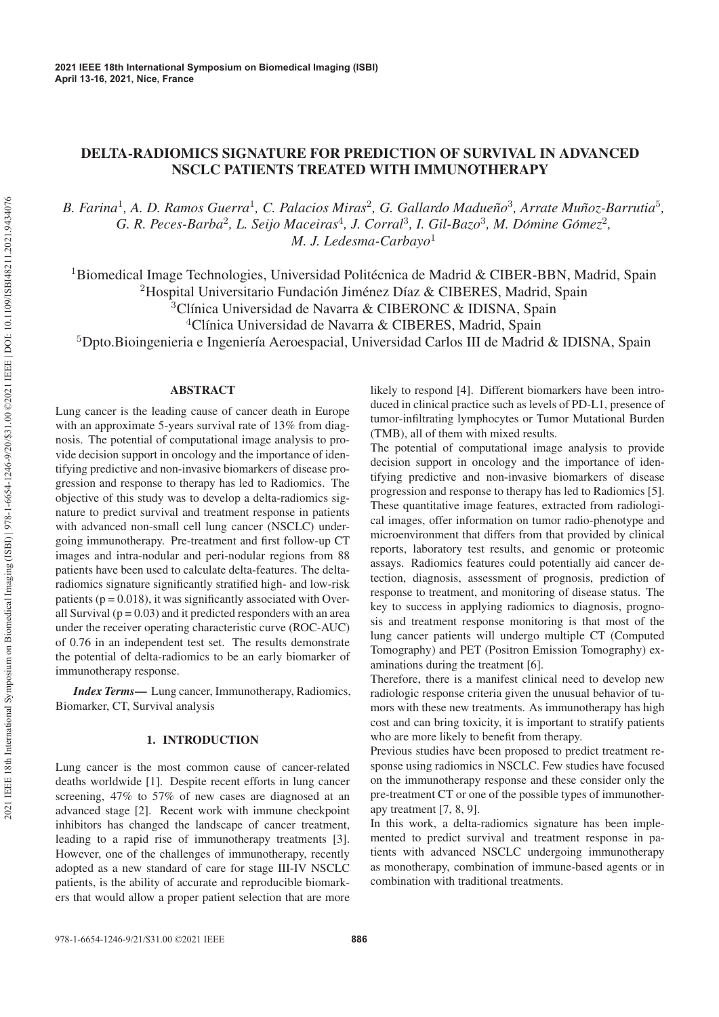# DELTA-RADIOMICS SIGNATURE FOR PREDICTION OF SURVIVAL IN ADVANCED NSCLC PATIENTS TREATED WITH IMMUNOTHERAPY

*B. Farina*<sup>1</sup>*, A. D. Ramos Guerra*<sup>1</sup>*, C. Palacios Miras*<sup>2</sup>*, G. Gallardo Madueno˜* <sup>3</sup>*, Arrate Munoz-Barrutia ˜* <sup>5</sup>*, G. R. Peces-Barba*<sup>2</sup>*, L. Seijo Maceiras*<sup>4</sup>*, J. Corral*<sup>3</sup>*, I. Gil-Bazo*<sup>3</sup>*, M. Domine G ´ omez ´* <sup>2</sup>*, M. J. Ledesma-Carbayo*<sup>1</sup>

<sup>1</sup>Biomedical Image Technologies, Universidad Politécnica de Madrid & CIBER-BBN, Madrid, Spain

<sup>2</sup>Hospital Universitario Fundación Jiménez Díaz & CIBERES, Madrid, Spain

 $3$ Clínica Universidad de Navarra & CIBERONC & IDISNA, Spain

<sup>4</sup>Clínica Universidad de Navarra & CIBERES, Madrid, Spain

<sup>5</sup>Dpto.Bioingenieria e Ingeniería Aeroespacial, Universidad Carlos III de Madrid & IDISNA, Spain

# ABSTRACT

Lung cancer is the leading cause of cancer death in Europe with an approximate 5-years survival rate of 13% from diagnosis. The potential of computational image analysis to provide decision support in oncology and the importance of identifying predictive and non-invasive biomarkers of disease progression and response to therapy has led to Radiomics. The objective of this study was to develop a delta-radiomics signature to predict survival and treatment response in patients with advanced non-small cell lung cancer (NSCLC) undergoing immunotherapy. Pre-treatment and first follow-up CT images and intra-nodular and peri-nodular regions from 88 patients have been used to calculate delta-features. The deltaradiomics signature significantly stratified high- and low-risk patients ( $p = 0.018$ ), it was significantly associated with Overall Survival ( $p = 0.03$ ) and it predicted responders with an area under the receiver operating characteristic curve (ROC-AUC) of 0.76 in an independent test set. The results demonstrate the potential of delta-radiomics to be an early biomarker of immunotherapy response.

*Index Terms*— Lung cancer, Immunotherapy, Radiomics, Biomarker, CT, Survival analysis

# 1. INTRODUCTION

Lung cancer is the most common cause of cancer-related deaths worldwide [1]. Despite recent efforts in lung cancer screening, 47% to 57% of new cases are diagnosed at an advanced stage [2]. Recent work with immune checkpoint inhibitors has changed the landscape of cancer treatment, leading to a rapid rise of immunotherapy treatments [3]. However, one of the challenges of immunotherapy, recently adopted as a new standard of care for stage III-IV NSCLC patients, is the ability of accurate and reproducible biomarkers that would allow a proper patient selection that are more likely to respond [4]. Different biomarkers have been introduced in clinical practice such as levels of PD-L1, presence of tumor-infiltrating lymphocytes or Tumor Mutational Burden (TMB), all of them with mixed results.

The potential of computational image analysis to provide decision support in oncology and the importance of identifying predictive and non-invasive biomarkers of disease progression and response to therapy has led to Radiomics [5]. These quantitative image features, extracted from radiological images, offer information on tumor radio-phenotype and microenvironment that differs from that provided by clinical reports, laboratory test results, and genomic or proteomic assays. Radiomics features could potentially aid cancer detection, diagnosis, assessment of prognosis, prediction of response to treatment, and monitoring of disease status. The key to success in applying radiomics to diagnosis, prognosis and treatment response monitoring is that most of the lung cancer patients will undergo multiple CT (Computed Tomography) and PET (Positron Emission Tomography) examinations during the treatment [6].

Therefore, there is a manifest clinical need to develop new radiologic response criteria given the unusual behavior of tumors with these new treatments. As immunotherapy has high cost and can bring toxicity, it is important to stratify patients who are more likely to benefit from therapy.

Previous studies have been proposed to predict treatment response using radiomics in NSCLC. Few studies have focused on the immunotherapy response and these consider only the pre-treatment CT or one of the possible types of immunotherapy treatment [7, 8, 9].

In this work, a delta-radiomics signature has been implemented to predict survival and treatment response in patients with advanced NSCLC undergoing immunotherapy as monotherapy, combination of immune-based agents or in combination with traditional treatments.

978-1-6654-1246-9/21/\$31.00 ©2021 IEEE **886**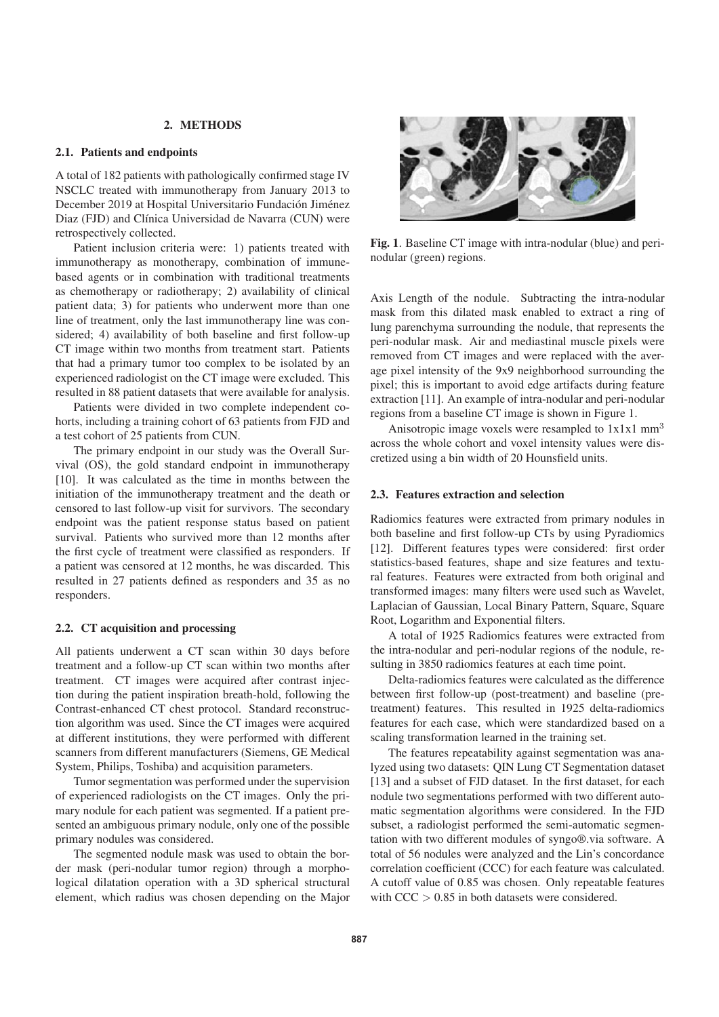# 2. METHODS

## 2.1. Patients and endpoints

A total of 182 patients with pathologically confirmed stage IV NSCLC treated with immunotherapy from January 2013 to December 2019 at Hospital Universitario Fundación Jiménez Diaz (FJD) and Clínica Universidad de Navarra (CUN) were retrospectively collected.

Patient inclusion criteria were: 1) patients treated with immunotherapy as monotherapy, combination of immunebased agents or in combination with traditional treatments as chemotherapy or radiotherapy; 2) availability of clinical patient data; 3) for patients who underwent more than one line of treatment, only the last immunotherapy line was considered; 4) availability of both baseline and first follow-up CT image within two months from treatment start. Patients that had a primary tumor too complex to be isolated by an experienced radiologist on the CT image were excluded. This resulted in 88 patient datasets that were available for analysis.

Patients were divided in two complete independent cohorts, including a training cohort of 63 patients from FJD and a test cohort of 25 patients from CUN.

The primary endpoint in our study was the Overall Survival (OS), the gold standard endpoint in immunotherapy [10]. It was calculated as the time in months between the initiation of the immunotherapy treatment and the death or censored to last follow-up visit for survivors. The secondary endpoint was the patient response status based on patient survival. Patients who survived more than 12 months after the first cycle of treatment were classified as responders. If a patient was censored at 12 months, he was discarded. This resulted in 27 patients defined as responders and 35 as no responders.

#### 2.2. CT acquisition and processing

All patients underwent a CT scan within 30 days before treatment and a follow-up CT scan within two months after treatment. CT images were acquired after contrast injection during the patient inspiration breath-hold, following the Contrast-enhanced CT chest protocol. Standard reconstruction algorithm was used. Since the CT images were acquired at different institutions, they were performed with different scanners from different manufacturers (Siemens, GE Medical System, Philips, Toshiba) and acquisition parameters.

Tumor segmentation was performed under the supervision of experienced radiologists on the CT images. Only the primary nodule for each patient was segmented. If a patient presented an ambiguous primary nodule, only one of the possible primary nodules was considered.

The segmented nodule mask was used to obtain the border mask (peri-nodular tumor region) through a morphological dilatation operation with a 3D spherical structural element, which radius was chosen depending on the Major



Fig. 1. Baseline CT image with intra-nodular (blue) and perinodular (green) regions.

Axis Length of the nodule. Subtracting the intra-nodular mask from this dilated mask enabled to extract a ring of lung parenchyma surrounding the nodule, that represents the peri-nodular mask. Air and mediastinal muscle pixels were removed from CT images and were replaced with the average pixel intensity of the 9x9 neighborhood surrounding the pixel; this is important to avoid edge artifacts during feature extraction [11]. An example of intra-nodular and peri-nodular regions from a baseline CT image is shown in Figure 1.

Anisotropic image voxels were resampled to  $1x1x1$  mm<sup>3</sup> across the whole cohort and voxel intensity values were discretized using a bin width of 20 Hounsfield units.

## 2.3. Features extraction and selection

Radiomics features were extracted from primary nodules in both baseline and first follow-up CTs by using Pyradiomics [12]. Different features types were considered: first order statistics-based features, shape and size features and textural features. Features were extracted from both original and transformed images: many filters were used such as Wavelet, Laplacian of Gaussian, Local Binary Pattern, Square, Square Root, Logarithm and Exponential filters.

A total of 1925 Radiomics features were extracted from the intra-nodular and peri-nodular regions of the nodule, resulting in 3850 radiomics features at each time point.

Delta-radiomics features were calculated as the difference between first follow-up (post-treatment) and baseline (pretreatment) features. This resulted in 1925 delta-radiomics features for each case, which were standardized based on a scaling transformation learned in the training set.

The features repeatability against segmentation was analyzed using two datasets: QIN Lung CT Segmentation dataset [13] and a subset of FJD dataset. In the first dataset, for each nodule two segmentations performed with two different automatic segmentation algorithms were considered. In the FJD subset, a radiologist performed the semi-automatic segmentation with two different modules of syngo®.via software. A total of 56 nodules were analyzed and the Lin's concordance correlation coefficient (CCC) for each feature was calculated. A cutoff value of 0.85 was chosen. Only repeatable features with  $CCC > 0.85$  in both datasets were considered.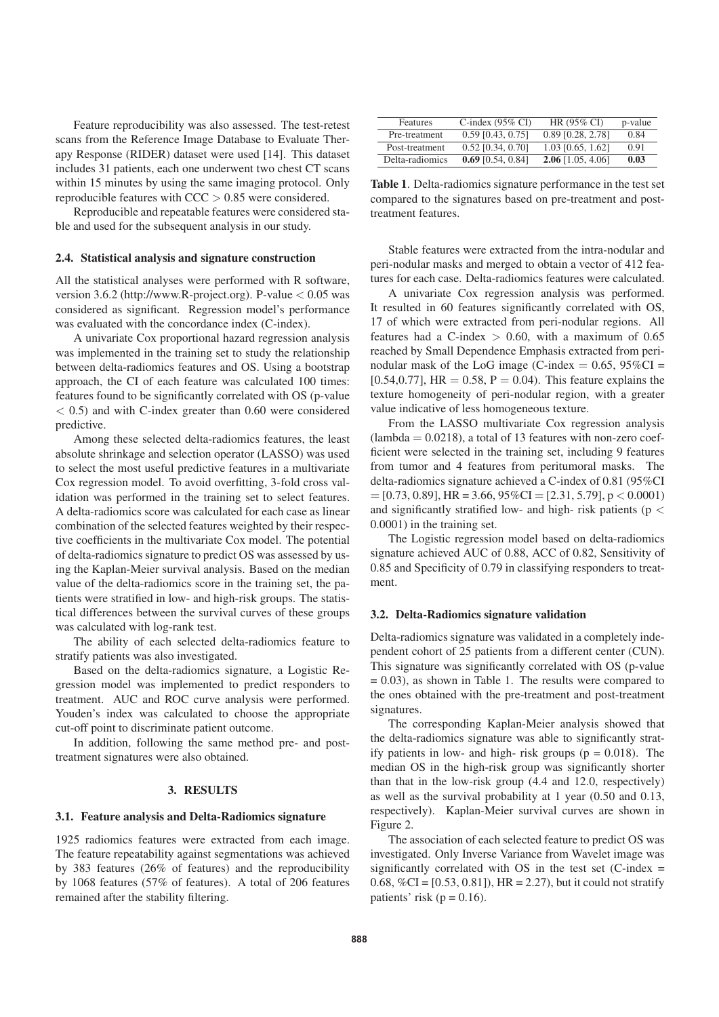Feature reproducibility was also assessed. The test-retest scans from the Reference Image Database to Evaluate Therapy Response (RIDER) dataset were used [14]. This dataset includes 31 patients, each one underwent two chest CT scans within 15 minutes by using the same imaging protocol. Only reproducible features with  $CCC > 0.85$  were considered.

Reproducible and repeatable features were considered stable and used for the subsequent analysis in our study.

## 2.4. Statistical analysis and signature construction

All the statistical analyses were performed with R software, version 3.6.2 (http://www.R-project.org). P-value  $< 0.05$  was considered as significant. Regression model's performance was evaluated with the concordance index (C-index).

A univariate Cox proportional hazard regression analysis was implemented in the training set to study the relationship between delta-radiomics features and OS. Using a bootstrap approach, the CI of each feature was calculated 100 times: features found to be significantly correlated with OS (p-value  $<$  0.5) and with C-index greater than 0.60 were considered predictive.

Among these selected delta-radiomics features, the least absolute shrinkage and selection operator (LASSO) was used to select the most useful predictive features in a multivariate Cox regression model. To avoid overfitting, 3-fold cross validation was performed in the training set to select features. A delta-radiomics score was calculated for each case as linear combination of the selected features weighted by their respective coefficients in the multivariate Cox model. The potential of delta-radiomics signature to predict OS was assessed by using the Kaplan-Meier survival analysis. Based on the median value of the delta-radiomics score in the training set, the patients were stratified in low- and high-risk groups. The statistical differences between the survival curves of these groups was calculated with log-rank test.

The ability of each selected delta-radiomics feature to stratify patients was also investigated.

Based on the delta-radiomics signature, a Logistic Regression model was implemented to predict responders to treatment. AUC and ROC curve analysis were performed. Youden's index was calculated to choose the appropriate cut-off point to discriminate patient outcome.

In addition, following the same method pre- and posttreatment signatures were also obtained.

## 3. RESULTS

## 3.1. Feature analysis and Delta-Radiomics signature

1925 radiomics features were extracted from each image. The feature repeatability against segmentations was achieved by 383 features (26% of features) and the reproducibility by 1068 features (57% of features). A total of 206 features remained after the stability filtering.

| Features        | C-index $(95\% \text{ CI})$ | HR $(95\%$ CI       | p-value |
|-----------------|-----------------------------|---------------------|---------|
| Pre-treatment   | $0.59$ [0.43, 0.75]         | $0.89$ [0.28, 2.78] | 0.84    |
| Post-treatment  | $0.52$ [0.34, 0.70]         | $1.03$ [0.65, 1.62] | 0.91    |
| Delta-radiomics | $0.69$ [0.54, 0.84]         | $2.06$ [1.05, 4.06] | 0.03    |

Table 1. Delta-radiomics signature performance in the test set compared to the signatures based on pre-treatment and posttreatment features.

Stable features were extracted from the intra-nodular and peri-nodular masks and merged to obtain a vector of 412 features for each case. Delta-radiomics features were calculated.

A univariate Cox regression analysis was performed. It resulted in 60 features significantly correlated with OS, 17 of which were extracted from peri-nodular regions. All features had a C-index  $> 0.60$ , with a maximum of 0.65 reached by Small Dependence Emphasis extracted from perinodular mask of the LoG image (C-index  $= 0.65$ , 95%CI = [0.54,0.77],  $HR = 0.58$ ,  $P = 0.04$ ). This feature explains the texture homogeneity of peri-nodular region, with a greater value indicative of less homogeneous texture.

From the LASSO multivariate Cox regression analysis  $(lambda = 0.0218)$ , a total of 13 features with non-zero coefficient were selected in the training set, including 9 features from tumor and 4 features from peritumoral masks. The delta-radiomics signature achieved a C-index of 0.81 (95%CI  $=[0.73, 0.89]$ , HR = 3.66, 95%CI = [2.31, 5.79], p < 0.0001) and significantly stratified low- and high- risk patients ( $p <$ 0.0001) in the training set.

The Logistic regression model based on delta-radiomics signature achieved AUC of 0.88, ACC of 0.82, Sensitivity of 0.85 and Specificity of 0.79 in classifying responders to treatment.

## 3.2. Delta-Radiomics signature validation

Delta-radiomics signature was validated in a completely independent cohort of 25 patients from a different center (CUN). This signature was significantly correlated with OS (p-value  $= 0.03$ ), as shown in Table 1. The results were compared to the ones obtained with the pre-treatment and post-treatment signatures.

The corresponding Kaplan-Meier analysis showed that the delta-radiomics signature was able to significantly stratify patients in low- and high- risk groups ( $p = 0.018$ ). The median OS in the high-risk group was significantly shorter than that in the low-risk group (4.4 and 12.0, respectively) as well as the survival probability at 1 year (0.50 and 0.13, respectively). Kaplan-Meier survival curves are shown in Figure 2.

The association of each selected feature to predict OS was investigated. Only Inverse Variance from Wavelet image was significantly correlated with OS in the test set  $(C$ -index = 0.68,  $\%CI = [0.53, 0.81]$ , HR = 2.27), but it could not stratify patients' risk ( $p = 0.16$ ).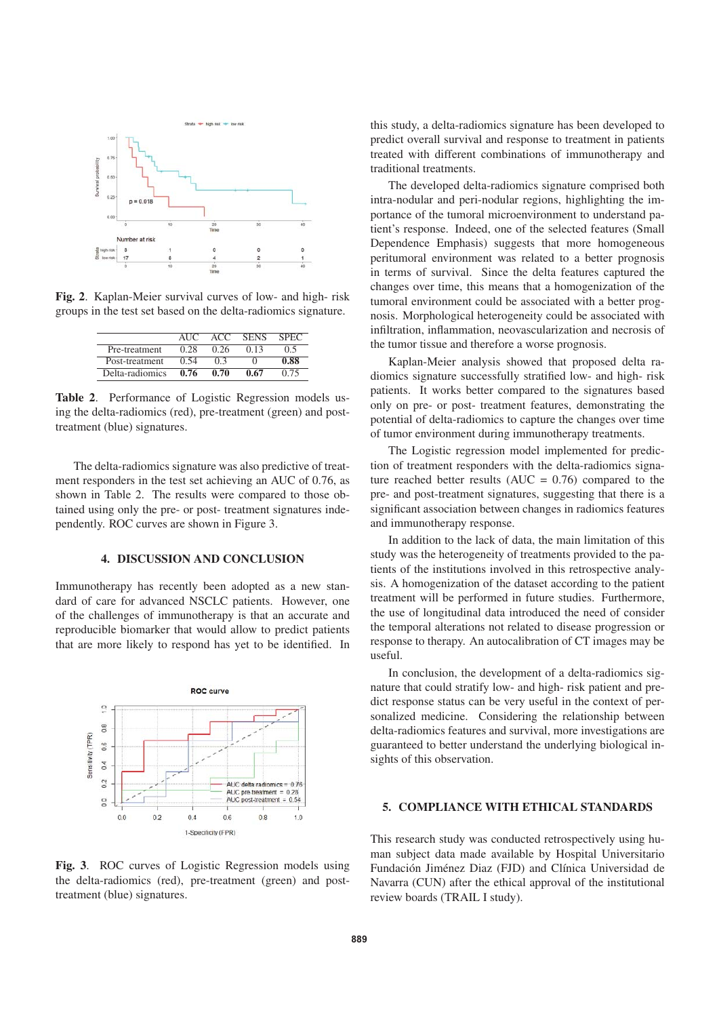

Fig. 2. Kaplan-Meier survival curves of low- and high- risk groups in the test set based on the delta-radiomics signature.

|                 | ALIC | ACC  | <b>SENS</b> | <b>SPEC</b> |
|-----------------|------|------|-------------|-------------|
| Pre-treatment   | 0.28 | 0.26 | 0.13        | 0.5         |
| Post-treatment  | 0.54 | 03   |             | 0.88        |
| Delta-radiomics | 0.76 | 0.70 | 0.67        | 0.75        |

Table 2. Performance of Logistic Regression models using the delta-radiomics (red), pre-treatment (green) and posttreatment (blue) signatures.

The delta-radiomics signature was also predictive of treatment responders in the test set achieving an AUC of 0.76, as shown in Table 2. The results were compared to those obtained using only the pre- or post- treatment signatures independently. ROC curves are shown in Figure 3.

## 4. DISCUSSION AND CONCLUSION

Immunotherapy has recently been adopted as a new standard of care for advanced NSCLC patients. However, one of the challenges of immunotherapy is that an accurate and reproducible biomarker that would allow to predict patients that are more likely to respond has yet to be identified. In



Fig. 3. ROC curves of Logistic Regression models using the delta-radiomics (red), pre-treatment (green) and posttreatment (blue) signatures.

this study, a delta-radiomics signature has been developed to predict overall survival and response to treatment in patients treated with different combinations of immunotherapy and traditional treatments.

The developed delta-radiomics signature comprised both intra-nodular and peri-nodular regions, highlighting the importance of the tumoral microenvironment to understand patient's response. Indeed, one of the selected features (Small Dependence Emphasis) suggests that more homogeneous peritumoral environment was related to a better prognosis in terms of survival. Since the delta features captured the changes over time, this means that a homogenization of the tumoral environment could be associated with a better prognosis. Morphological heterogeneity could be associated with infiltration, inflammation, neovascularization and necrosis of the tumor tissue and therefore a worse prognosis.

Kaplan-Meier analysis showed that proposed delta radiomics signature successfully stratified low- and high- risk patients. It works better compared to the signatures based only on pre- or post- treatment features, demonstrating the potential of delta-radiomics to capture the changes over time of tumor environment during immunotherapy treatments.

The Logistic regression model implemented for prediction of treatment responders with the delta-radiomics signature reached better results ( $AUC = 0.76$ ) compared to the pre- and post-treatment signatures, suggesting that there is a significant association between changes in radiomics features and immunotherapy response.

In addition to the lack of data, the main limitation of this study was the heterogeneity of treatments provided to the patients of the institutions involved in this retrospective analysis. A homogenization of the dataset according to the patient treatment will be performed in future studies. Furthermore, the use of longitudinal data introduced the need of consider the temporal alterations not related to disease progression or response to therapy. An autocalibration of CT images may be useful.

In conclusion, the development of a delta-radiomics signature that could stratify low- and high- risk patient and predict response status can be very useful in the context of personalized medicine. Considering the relationship between delta-radiomics features and survival, more investigations are guaranteed to better understand the underlying biological insights of this observation.

## 5. COMPLIANCE WITH ETHICAL STANDARDS

This research study was conducted retrospectively using human subject data made available by Hospital Universitario Fundación Jiménez Diaz (FJD) and Clínica Universidad de Navarra (CUN) after the ethical approval of the institutional review boards (TRAIL I study).